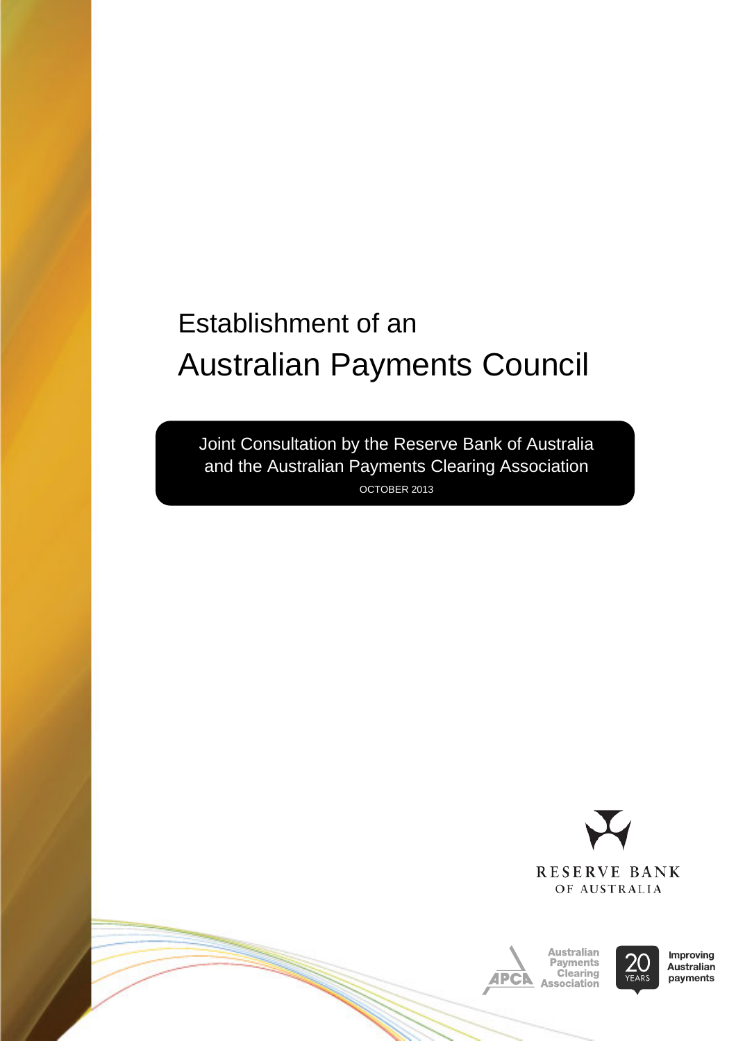# Establishment of an Australian Payments Council

Joint Consultation by the Reserve Bank of Australia and the Australian Payments Clearing Association OCTOBER 2013







**Improving** Australian payments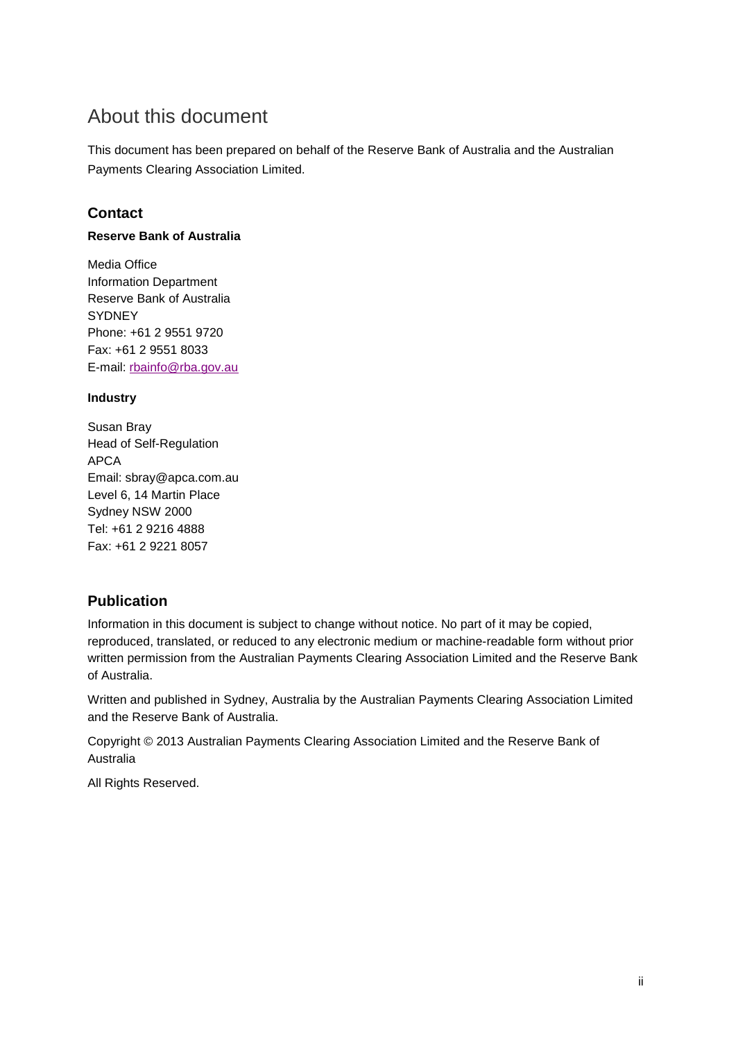### <span id="page-1-0"></span>About this document

This document has been prepared on behalf of the Reserve Bank of Australia and the Australian Payments Clearing Association Limited.

#### **Contact**

#### **Reserve Bank of Australia**

Media Office Information Department Reserve Bank of Australia **SYDNEY** Phone: +61 2 9551 9720 Fax: +61 2 9551 8033 E-mail: [rbainfo@rba.gov.au](mailto:rbainfo@rba.gov.au)

#### **Industry**

Susan Bray Head of Self-Regulation APCA Email: sbray@apca.com.au Level 6, 14 Martin Place Sydney NSW 2000 Tel: +61 2 9216 4888 Fax: +61 2 9221 8057

#### **Publication**

Information in this document is subject to change without notice. No part of it may be copied, reproduced, translated, or reduced to any electronic medium or machine-readable form without prior written permission from the Australian Payments Clearing Association Limited and the Reserve Bank of Australia.

Written and published in Sydney, Australia by the Australian Payments Clearing Association Limited and the Reserve Bank of Australia.

Copyright © 2013 Australian Payments Clearing Association Limited and the Reserve Bank of Australia

All Rights Reserved.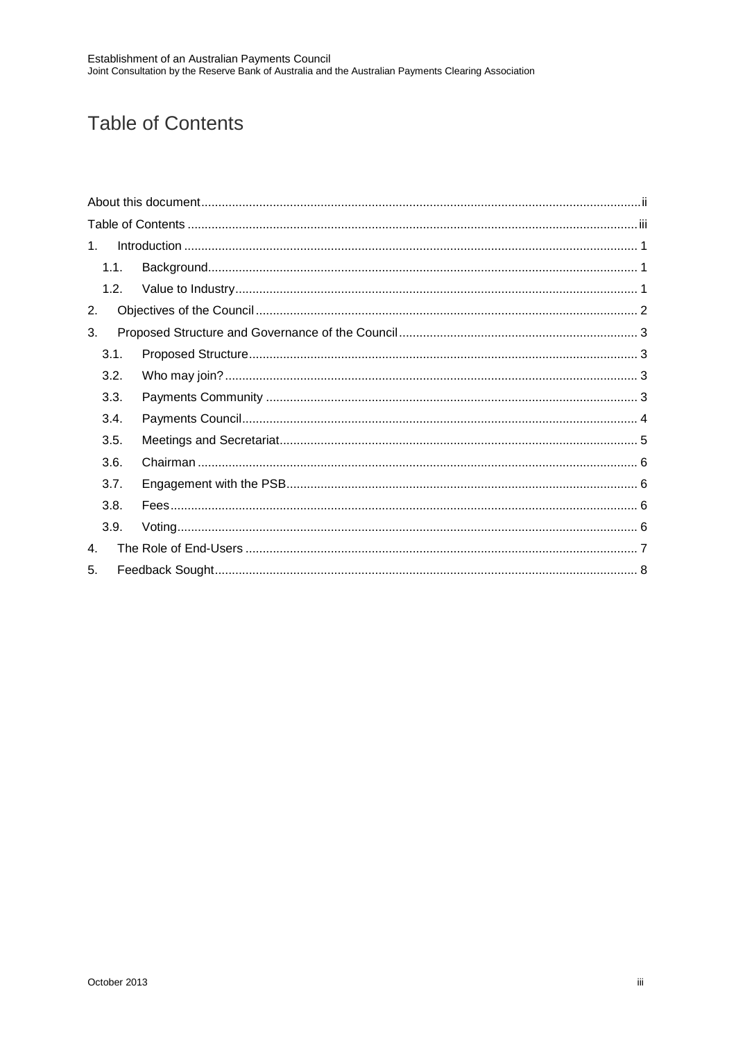# <span id="page-2-0"></span>**Table of Contents**

| 1              |  |
|----------------|--|
| 1.1.           |  |
|                |  |
| 2.             |  |
| 3.             |  |
| 3.1.           |  |
| 3.2.           |  |
| 3.3.           |  |
| 3.4.           |  |
| 3.5.           |  |
| 3.6.           |  |
| 3.7.           |  |
| 3.8.           |  |
| 3.9.           |  |
| $\mathbf{4}$ . |  |
| 5.             |  |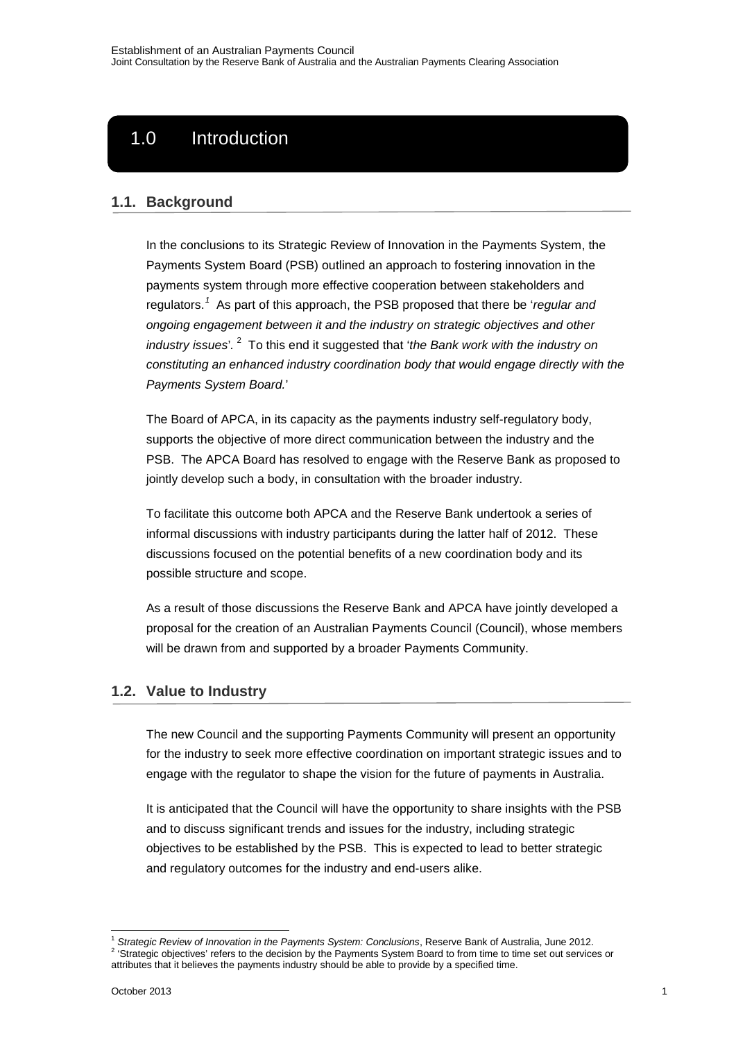# 1.0 Introduction

#### <span id="page-3-1"></span>**1.1. Background**

<span id="page-3-0"></span>**1. INTRODUCTION**

In the conclusions to its Strategic Review of Innovation in the Payments System, the Payments System Board (PSB) outlined an approach to fostering innovation in the payments system through more effective cooperation between stakeholders and regulators.*[1](#page-3-3)* As part of this approach, the PSB proposed that there be '*regular and ongoing engagement between it and the industry on strategic objectives and other industry issues*'*.* [2](#page-3-4) To this end it suggested that '*the Bank work with the industry on constituting an enhanced industry coordination body that would engage directly with the Payments System Board.*'

The Board of APCA, in its capacity as the payments industry self-regulatory body, supports the objective of more direct communication between the industry and the PSB. The APCA Board has resolved to engage with the Reserve Bank as proposed to jointly develop such a body, in consultation with the broader industry.

To facilitate this outcome both APCA and the Reserve Bank undertook a series of informal discussions with industry participants during the latter half of 2012. These discussions focused on the potential benefits of a new coordination body and its possible structure and scope.

As a result of those discussions the Reserve Bank and APCA have jointly developed a proposal for the creation of an Australian Payments Council (Council), whose members will be drawn from and supported by a broader Payments Community.

#### <span id="page-3-2"></span>**1.2. Value to Industry**

The new Council and the supporting Payments Community will present an opportunity for the industry to seek more effective coordination on important strategic issues and to engage with the regulator to shape the vision for the future of payments in Australia.

It is anticipated that the Council will have the opportunity to share insights with the PSB and to discuss significant trends and issues for the industry, including strategic objectives to be established by the PSB. This is expected to lead to better strategic and regulatory outcomes for the industry and end-users alike.

<span id="page-3-4"></span><span id="page-3-3"></span><sup>&</sup>lt;sup>1</sup> Strategic Review of Innovation in the Payments System: Conclusions, Reserve Bank of Australia, June 2012.<br><sup>2</sup> 'Strategic objectives' refers to the decision by the Payments System Board to from time to time set out ser attributes that it believes the payments industry should be able to provide by a specified time.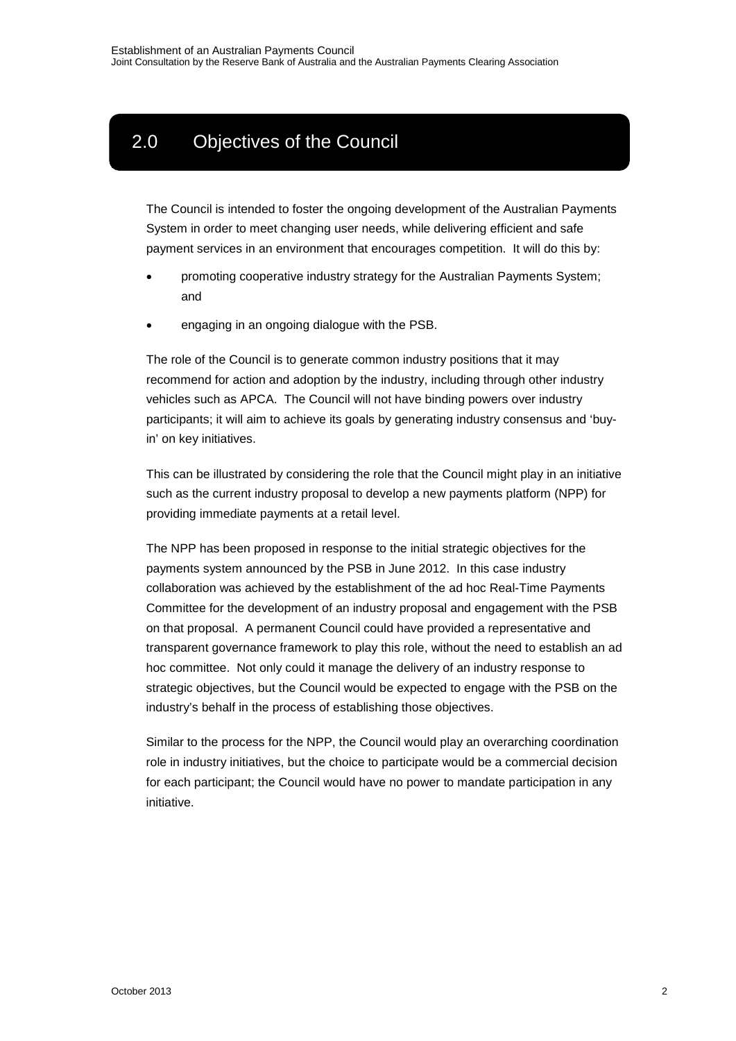# <span id="page-4-0"></span>2.0 Objectives of the Council

**2. OBJECTIVES OF THE COUNCIL**

The Council is intended to foster the ongoing development of the Australian Payments System in order to meet changing user needs, while delivering efficient and safe payment services in an environment that encourages competition. It will do this by:

- promoting cooperative industry strategy for the Australian Payments System; and
- engaging in an ongoing dialogue with the PSB.

The role of the Council is to generate common industry positions that it may recommend for action and adoption by the industry, including through other industry vehicles such as APCA. The Council will not have binding powers over industry participants; it will aim to achieve its goals by generating industry consensus and 'buyin' on key initiatives.

This can be illustrated by considering the role that the Council might play in an initiative such as the current industry proposal to develop a new payments platform (NPP) for providing immediate payments at a retail level.

The NPP has been proposed in response to the initial strategic objectives for the payments system announced by the PSB in June 2012. In this case industry collaboration was achieved by the establishment of the ad hoc Real-Time Payments Committee for the development of an industry proposal and engagement with the PSB on that proposal. A permanent Council could have provided a representative and transparent governance framework to play this role, without the need to establish an ad hoc committee. Not only could it manage the delivery of an industry response to strategic objectives, but the Council would be expected to engage with the PSB on the industry's behalf in the process of establishing those objectives.

Similar to the process for the NPP, the Council would play an overarching coordination role in industry initiatives, but the choice to participate would be a commercial decision for each participant; the Council would have no power to mandate participation in any initiative.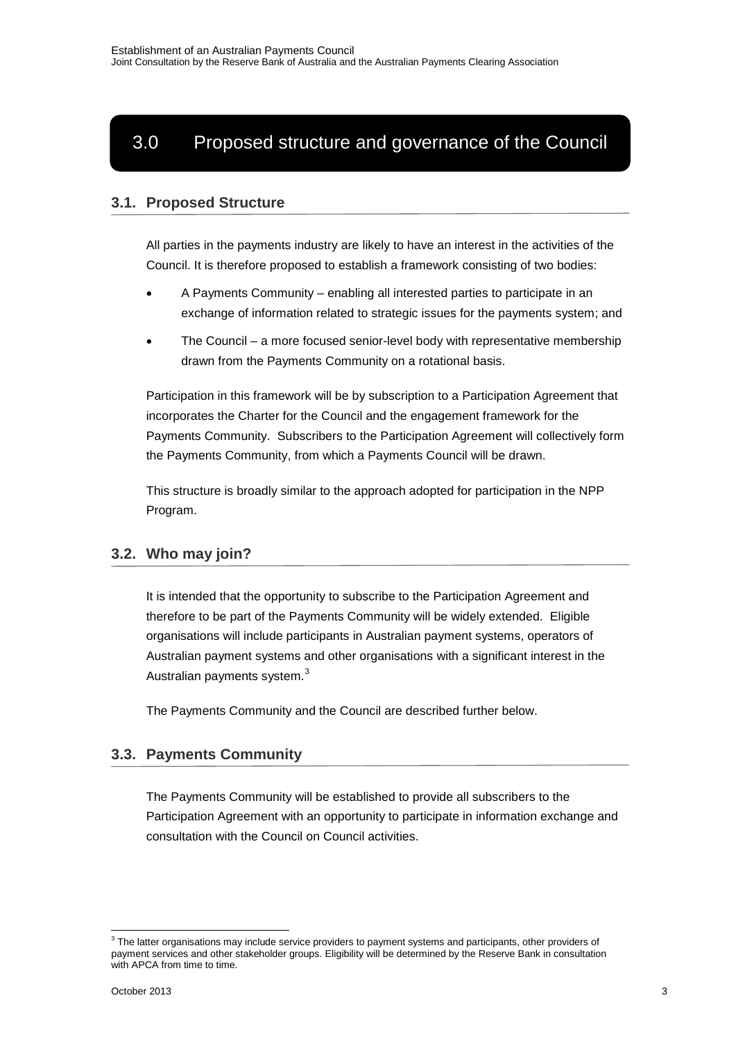# <span id="page-5-0"></span>3.0 Proposed structure and governance of the Council

**3. PROPOSED STRUCTURE AND GOVERNANCE OF THE COUNCIL**

#### <span id="page-5-1"></span>**3.1. Proposed Structure**

All parties in the payments industry are likely to have an interest in the activities of the Council. It is therefore proposed to establish a framework consisting of two bodies:

- A Payments Community enabling all interested parties to participate in an exchange of information related to strategic issues for the payments system; and
- The Council a more focused senior-level body with representative membership drawn from the Payments Community on a rotational basis.

Participation in this framework will be by subscription to a Participation Agreement that incorporates the Charter for the Council and the engagement framework for the Payments Community. Subscribers to the Participation Agreement will collectively form the Payments Community, from which a Payments Council will be drawn.

This structure is broadly similar to the approach adopted for participation in the NPP Program.

#### <span id="page-5-2"></span>**3.2. Who may join?**

It is intended that the opportunity to subscribe to the Participation Agreement and therefore to be part of the Payments Community will be widely extended. Eligible organisations will include participants in Australian payment systems, operators of Australian payment systems and other organisations with a significant interest in the Australian payments system.<sup>[3](#page-5-4)</sup>

The Payments Community and the Council are described further below.

#### <span id="page-5-3"></span>**3.3. Payments Community**

The Payments Community will be established to provide all subscribers to the Participation Agreement with an opportunity to participate in information exchange and consultation with the Council on Council activities.

<span id="page-5-4"></span> $3$  The latter organisations may include service providers to payment systems and participants, other providers of payment services and other stakeholder groups. Eligibility will be determined by the Reserve Bank in consultation with APCA from time to time.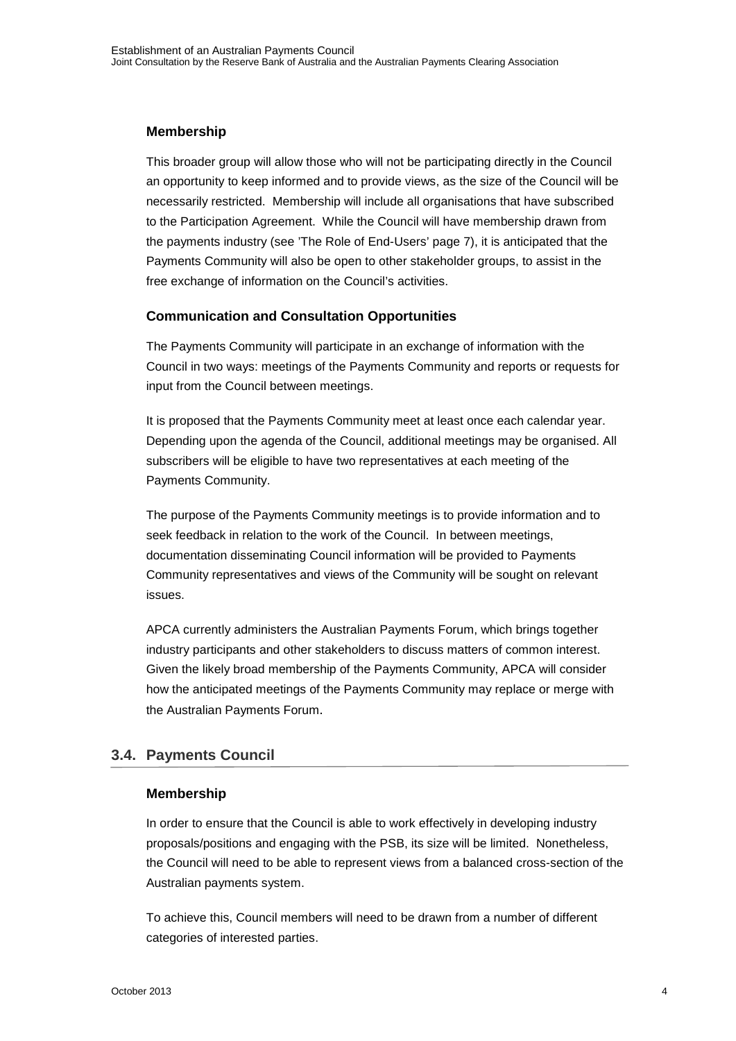#### **Membership**

This broader group will allow those who will not be participating directly in the Council an opportunity to keep informed and to provide views, as the size of the Council will be necessarily restricted. Membership will include all organisations that have subscribed to the Participation Agreement. While the Council will have membership drawn from the payments industry (see 'The Role of End-Users' page 7), it is anticipated that the Payments Community will also be open to other stakeholder groups, to assist in the free exchange of information on the Council's activities.

#### **Communication and Consultation Opportunities**

The Payments Community will participate in an exchange of information with the Council in two ways: meetings of the Payments Community and reports or requests for input from the Council between meetings.

It is proposed that the Payments Community meet at least once each calendar year. Depending upon the agenda of the Council, additional meetings may be organised. All subscribers will be eligible to have two representatives at each meeting of the Payments Community.

The purpose of the Payments Community meetings is to provide information and to seek feedback in relation to the work of the Council. In between meetings, documentation disseminating Council information will be provided to Payments Community representatives and views of the Community will be sought on relevant issues.

APCA currently administers the Australian Payments Forum, which brings together industry participants and other stakeholders to discuss matters of common interest. Given the likely broad membership of the Payments Community, APCA will consider how the anticipated meetings of the Payments Community may replace or merge with the Australian Payments Forum.

#### <span id="page-6-0"></span>**3.4. Payments Council**

#### **Membership**

In order to ensure that the Council is able to work effectively in developing industry proposals/positions and engaging with the PSB, its size will be limited. Nonetheless, the Council will need to be able to represent views from a balanced cross-section of the Australian payments system.

To achieve this, Council members will need to be drawn from a number of different categories of interested parties.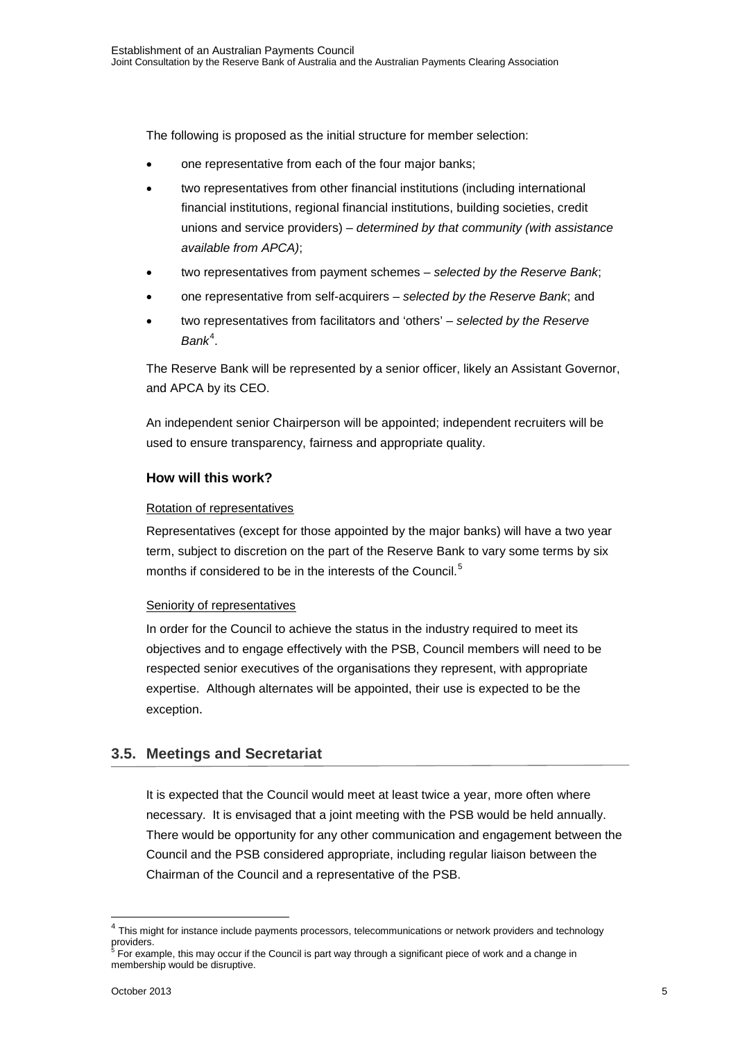The following is proposed as the initial structure for member selection:

- one representative from each of the four major banks;
- two representatives from other financial institutions (including international financial institutions, regional financial institutions, building societies, credit unions and service providers) – *determined by that community (with assistance available from APCA)*;
- two representatives from payment schemes *selected by the Reserve Bank*;
- one representative from self-acquirers *selected by the Reserve Bank*; and
- two representatives from facilitators and 'others' *selected by the Reserve*  Bank<sup>[4](#page-7-1)</sup>.

The Reserve Bank will be represented by a senior officer, likely an Assistant Governor, and APCA by its CEO.

An independent senior Chairperson will be appointed; independent recruiters will be used to ensure transparency, fairness and appropriate quality.

#### **How will this work?**

#### Rotation of representatives

Representatives (except for those appointed by the major banks) will have a two year term, subject to discretion on the part of the Reserve Bank to vary some terms by six months if considered to be in the interests of the Council.<sup>[5](#page-7-2)</sup>

#### Seniority of representatives

In order for the Council to achieve the status in the industry required to meet its objectives and to engage effectively with the PSB, Council members will need to be respected senior executives of the organisations they represent, with appropriate expertise. Although alternates will be appointed, their use is expected to be the exception.

#### <span id="page-7-0"></span>**3.5. Meetings and Secretariat**

It is expected that the Council would meet at least twice a year, more often where necessary. It is envisaged that a joint meeting with the PSB would be held annually. There would be opportunity for any other communication and engagement between the Council and the PSB considered appropriate, including regular liaison between the Chairman of the Council and a representative of the PSB.

<span id="page-7-1"></span><sup>&</sup>lt;sup>4</sup> This might for instance include payments processors, telecommunications or network providers and technology providers.

<span id="page-7-2"></span><sup>5</sup> For example, this may occur if the Council is part way through a significant piece of work and a change in membership would be disruptive.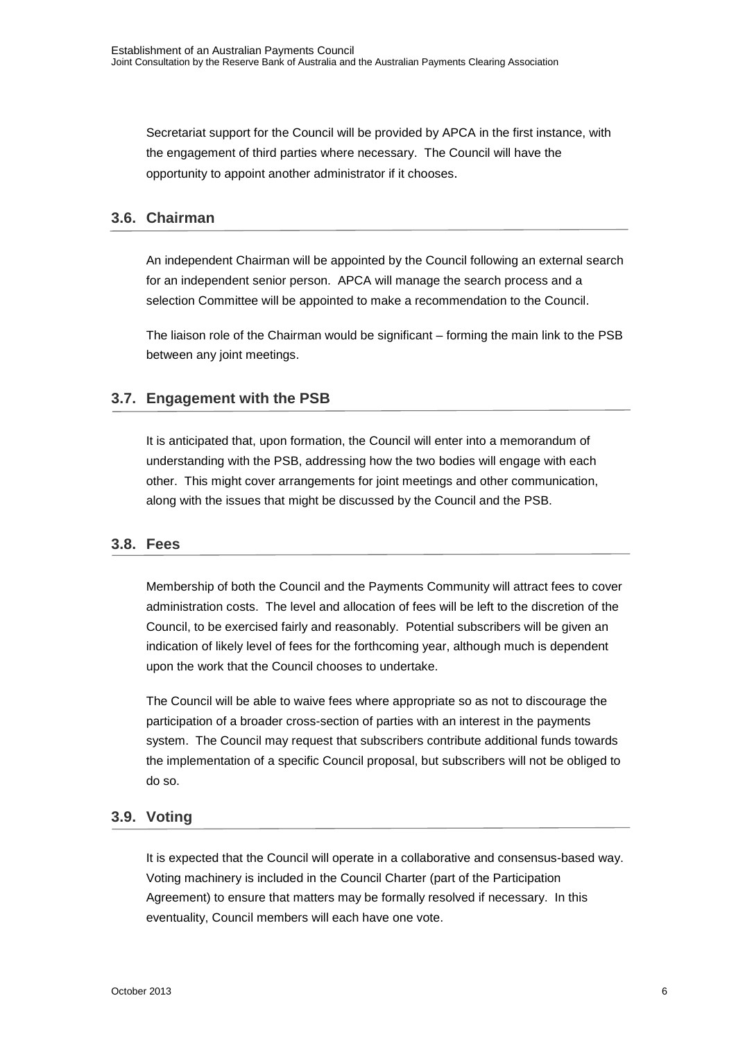Secretariat support for the Council will be provided by APCA in the first instance, with the engagement of third parties where necessary. The Council will have the opportunity to appoint another administrator if it chooses.

#### <span id="page-8-0"></span>**3.6. Chairman**

An independent Chairman will be appointed by the Council following an external search for an independent senior person. APCA will manage the search process and a selection Committee will be appointed to make a recommendation to the Council.

The liaison role of the Chairman would be significant – forming the main link to the PSB between any joint meetings.

#### <span id="page-8-1"></span>**3.7. Engagement with the PSB**

It is anticipated that, upon formation, the Council will enter into a memorandum of understanding with the PSB, addressing how the two bodies will engage with each other. This might cover arrangements for joint meetings and other communication, along with the issues that might be discussed by the Council and the PSB.

#### <span id="page-8-2"></span>**3.8. Fees**

Membership of both the Council and the Payments Community will attract fees to cover administration costs. The level and allocation of fees will be left to the discretion of the Council, to be exercised fairly and reasonably. Potential subscribers will be given an indication of likely level of fees for the forthcoming year, although much is dependent upon the work that the Council chooses to undertake.

The Council will be able to waive fees where appropriate so as not to discourage the participation of a broader cross-section of parties with an interest in the payments system. The Council may request that subscribers contribute additional funds towards the implementation of a specific Council proposal, but subscribers will not be obliged to do so.

#### <span id="page-8-3"></span>**3.9. Voting**

It is expected that the Council will operate in a collaborative and consensus-based way. Voting machinery is included in the Council Charter (part of the Participation Agreement) to ensure that matters may be formally resolved if necessary. In this eventuality, Council members will each have one vote.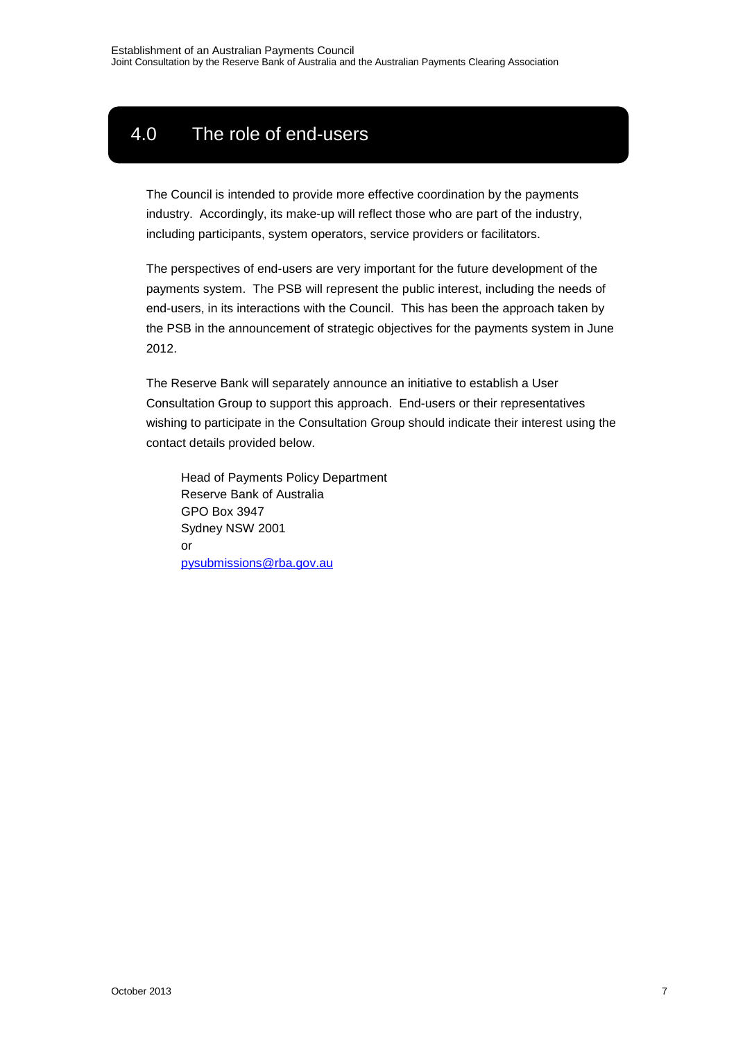# <span id="page-9-0"></span>4.0 The role of end-users

The Council is intended to provide more effective coordination by the payments industry. Accordingly, its make-up will reflect those who are part of the industry, including participants, system operators, service providers or facilitators.

The perspectives of end-users are very important for the future development of the payments system. The PSB will represent the public interest, including the needs of end-users, in its interactions with the Council. This has been the approach taken by the PSB in the announcement of strategic objectives for the payments system in June 2012.

The Reserve Bank will separately announce an initiative to establish a User Consultation Group to support this approach. End-users or their representatives wishing to participate in the Consultation Group should indicate their interest using the contact details provided below.

<span id="page-9-1"></span>Head of Payments Policy Department Reserve Bank of Australia GPO Box 3947 Sydney NSW 2001 or [pysubmissions@rba.gov.au](mailto:pysubmissions@rba.gov.au)